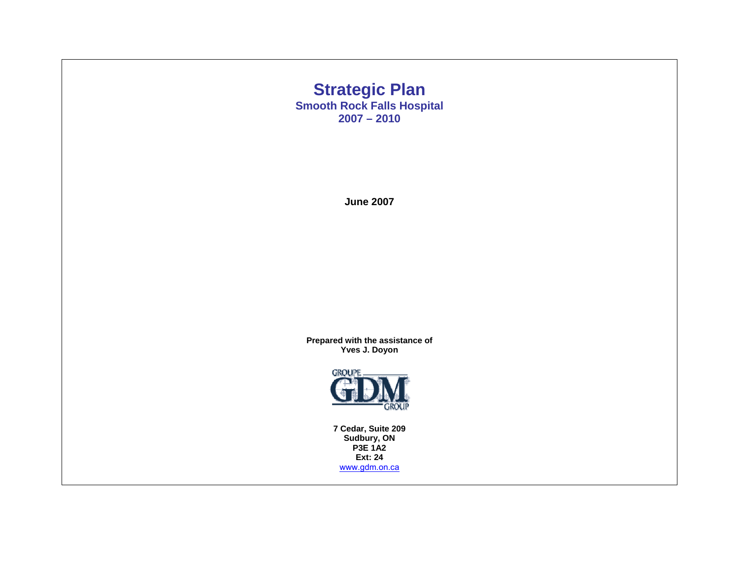## **Strategic Plan Smooth Rock Falls Hospital 2007 – 2010**

**June 2007** 

**Prepared with the assistance of Yves J. Doyon** 



**7 Cedar, Suite 209 Sudbury, ON P3E 1A2 Ext: 24**  www.gdm.on.ca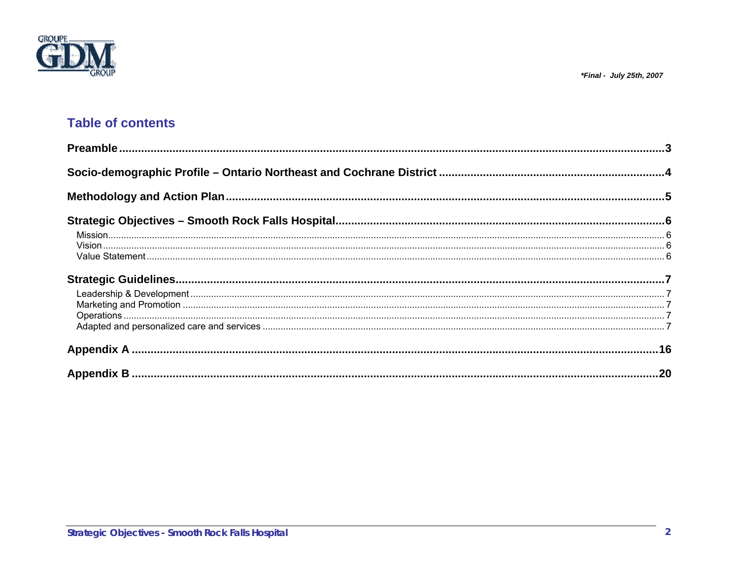



# **Table of contents**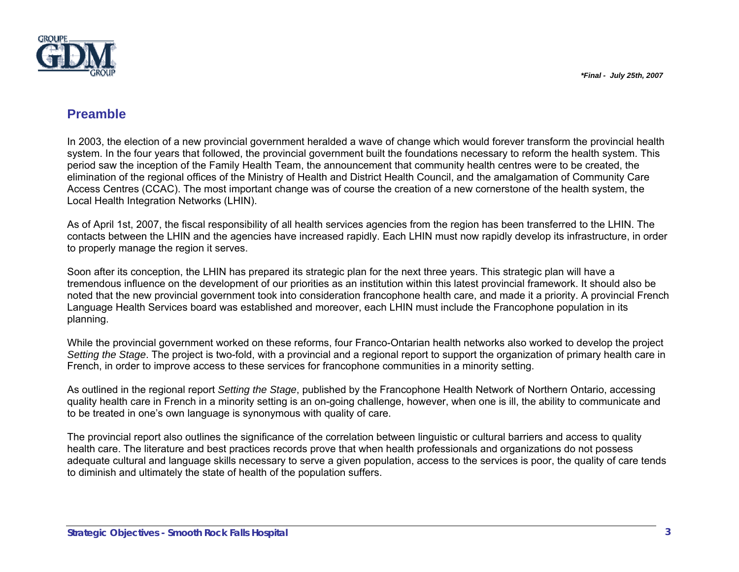

## **Preamble**

In 2003, the election of a new provincial government heralded a wave of change which would forever transform the provincial health system. In the four years that followed, the provincial government built the foundations necessary to reform the health system. This period saw the inception of the Family Health Team, the announcement that community health centres were to be created, the elimination of the regional offices of the Ministry of Health and District Health Council, and the amalgamation of Community Care Access Centres (CCAC). The most important change was of course the creation of a new cornerstone of the health system, the Local Health Integration Networks (LHIN).

As of April 1st, 2007, the fiscal responsibility of all health services agencies from the region has been transferred to the LHIN. The contacts between the LHIN and the agencies have increased rapidly. Each LHIN must now rapidly develop its infrastructure, in order to properly manage the region it serves.

Soon after its conception, the LHIN has prepared its strategic plan for the next three years. This strategic plan will have a tremendous influence on the development of our priorities as an institution within this latest provincial framework. It should also be noted that the new provincial government took into consideration francophone health care, and made it a priority. A provincial French Language Health Services board was established and moreover, each LHIN must include the Francophone population in its planning.

While the provincial government worked on these reforms, four Franco-Ontarian health networks also worked to develop the project *Setting the Stage*. The project is two-fold, with a provincial and a regional report to support the organization of primary health care in French, in order to improve access to these services for francophone communities in a minority setting.

As outlined in the regional report *Setting the Stage*, published by the Francophone Health Network of Northern Ontario, accessing quality health care in French in a minority setting is an on-going challenge, however, when one is ill, the ability to communicate and to be treated in one's own language is synonymous with quality of care.

The provincial report also outlines the significance of the correlation between linguistic or cultural barriers and access to quality health care. The literature and best practices records prove that when health professionals and organizations do not possess adequate cultural and language skills necessary to serve a given population, access to the services is poor, the quality of care tends to diminish and ultimately the state of health of the population suffers.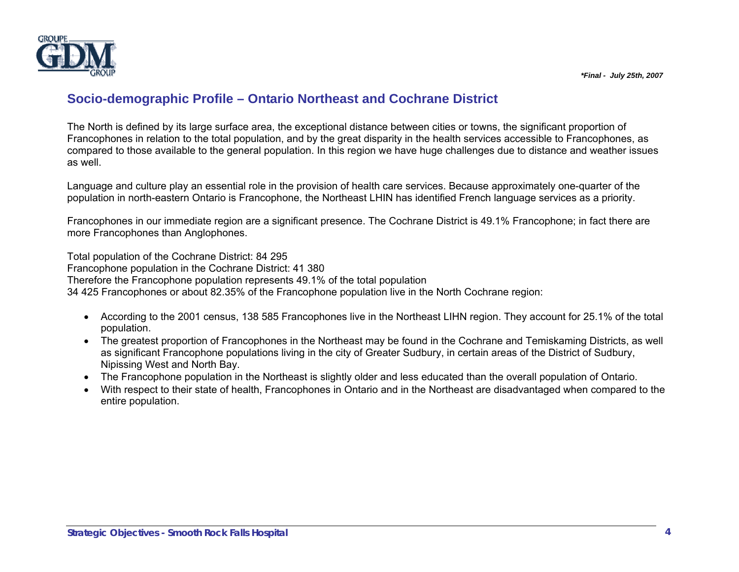

# **Socio-demographic Profile – Ontario Northeast and Cochrane District**

The North is defined by its large surface area, the exceptional distance between cities or towns, the significant proportion of Francophones in relation to the total population, and by the great disparity in the health services accessible to Francophones, as compared to those available to the general population. In this region we have huge challenges due to distance and weather issues as well.

Language and culture play an essential role in the provision of health care services. Because approximately one-quarter of the population in north-eastern Ontario is Francophone, the Northeast LHIN has identified French language services as a priority.

Francophones in our immediate region are a significant presence. The Cochrane District is 49.1% Francophone; in fact there are more Francophones than Anglophones.

Total population of the Cochrane District: 84 295 Francophone population in the Cochrane District: 41 380 Therefore the Francophone population represents 49.1% of the total population 34 425 Francophones or about 82.35% of the Francophone population live in the North Cochrane region:

- According to the 2001 census, 138 585 Francophones live in the Northeast LIHN region. They account for 25.1% of the total population.
- The greatest proportion of Francophones in the Northeast may be found in the Cochrane and Temiskaming Districts, as well as significant Francophone populations living in the city of Greater Sudbury, in certain areas of the District of Sudbury, Nipissing West and North Bay.
- The Francophone population in the Northeast is slightly older and less educated than the overall population of Ontario.
- With respect to their state of health, Francophones in Ontario and in the Northeast are disadvantaged when compared to the entire population.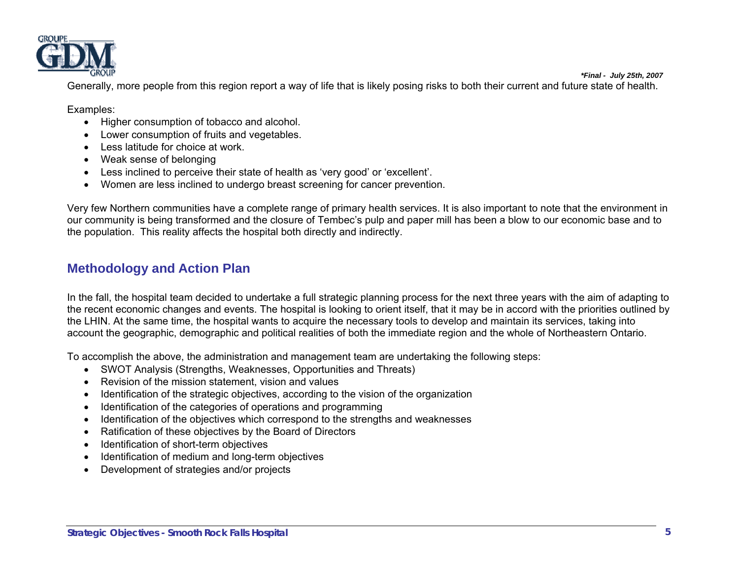

*\*Final - July 25th, 2007* Generally, more people from this region report a way of life that is likely posing risks to both their current and future state of health.

Examples:

- Higher consumption of tobacco and alcohol.
- Lower consumption of fruits and vegetables.
- Less latitude for choice at work.
- Weak sense of belonging
- Less inclined to perceive their state of health as 'very good' or 'excellent'.
- Women are less inclined to undergo breast screening for cancer prevention.

Very few Northern communities have a complete range of primary health services. It is also important to note that the environment in our community is being transformed and the closure of Tembec's pulp and paper mill has been a blow to our economic base and to the population. This reality affects the hospital both directly and indirectly.

## **Methodology and Action Plan**

In the fall, the hospital team decided to undertake a full strategic planning process for the next three years with the aim of adapting to the recent economic changes and events. The hospital is looking to orient itself, that it may be in accord with the priorities outlined by the LHIN. At the same time, the hospital wants to acquire the necessary tools to develop and maintain its services, taking into account the geographic, demographic and political realities of both the immediate region and the whole of Northeastern Ontario.

To accomplish the above, the administration and management team are undertaking the following steps:

- SWOT Analysis (Strengths, Weaknesses, Opportunities and Threats)
- Revision of the mission statement, vision and values
- Identification of the strategic objectives, according to the vision of the organization
- Identification of the categories of operations and programming
- Identification of the objectives which correspond to the strengths and weaknesses
- Ratification of these objectives by the Board of Directors
- Identification of short-term objectives
- Identification of medium and long-term objectives
- Development of strategies and/or projects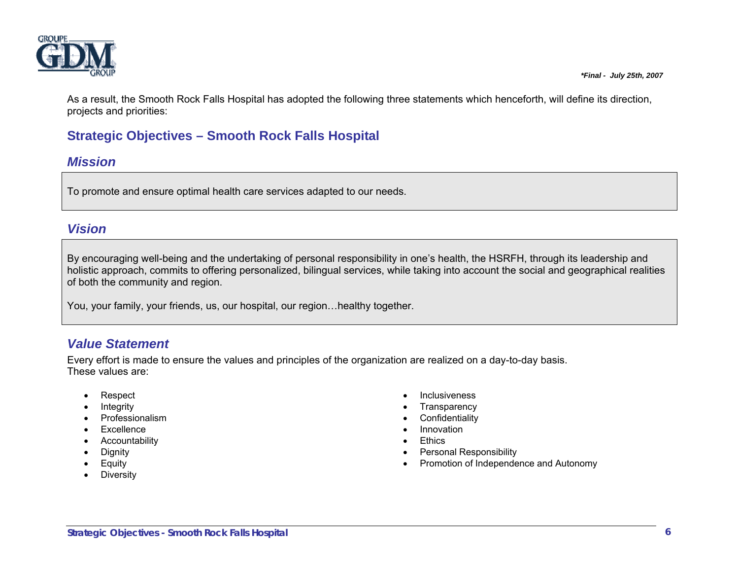

As a result, the Smooth Rock Falls Hospital has adopted the following three statements which henceforth, will define its direction, projects and priorities:

# **Strategic Objectives – Smooth Rock Falls Hospital**

## *Mission*

To promote and ensure optimal health care services adapted to our needs.

## *Vision*

By encouraging well-being and the undertaking of personal responsibility in one's health, the HSRFH, through its leadership and holistic approach, commits to offering personalized, bilingual services, while taking into account the social and geographical realities of both the community and region.

You, your family, your friends, us, our hospital, our region…healthy together.

# *Value Statement*

Every effort is made to ensure the values and principles of the organization are realized on a day-to-day basis. These values are:

- Respect
- Integrity
- **Professionalism**
- Excellence
- **Accountability**
- Dignity
- **Equity**
- Diversity
- Inclusiveness
- Transparency
- Confidentiality
- Innovation
- Ethics
- Personal Responsibility
- Promotion of Independence and Autonomy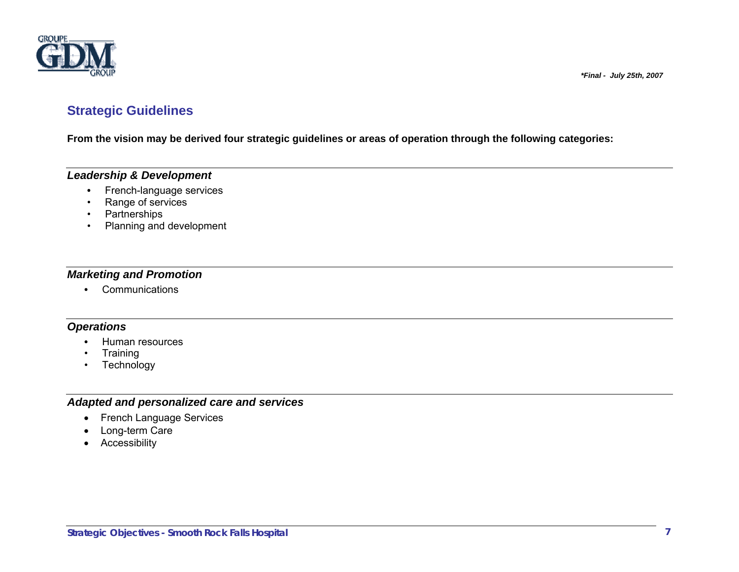

## **Strategic Guidelines**

**From the vision may be derived four strategic guidelines or areas of operation through the following categories:** 

### *Leadership & Development*

- French-language services
- Range of services
	- Partnerships
	- Planning and development

### *Marketing and Promotion*

 **•** Communications

### *Operations*

- Human resources
- Training
- Technology

### *Adapted and personalized care and services*

- French Language Services
- Long-term Care
- Accessibility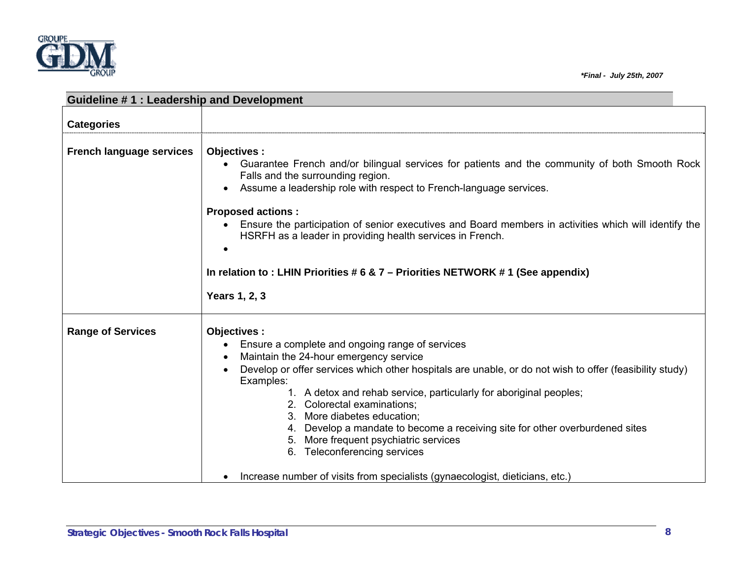

| Guideline #1: Leadership and Development |                                                                                                                                                                                                                                                                                                           |  |  |  |  |
|------------------------------------------|-----------------------------------------------------------------------------------------------------------------------------------------------------------------------------------------------------------------------------------------------------------------------------------------------------------|--|--|--|--|
| <b>Categories</b>                        |                                                                                                                                                                                                                                                                                                           |  |  |  |  |
|                                          |                                                                                                                                                                                                                                                                                                           |  |  |  |  |
| <b>French language services</b>          | Objectives :<br>Guarantee French and/or bilingual services for patients and the community of both Smooth Rock<br>Falls and the surrounding region.<br>Assume a leadership role with respect to French-language services.<br>$\bullet$<br><b>Proposed actions:</b>                                         |  |  |  |  |
|                                          | Ensure the participation of senior executives and Board members in activities which will identify the<br>HSRFH as a leader in providing health services in French.                                                                                                                                        |  |  |  |  |
|                                          | In relation to : LHIN Priorities $# 6 \& 7$ – Priorities NETWORK #1 (See appendix)                                                                                                                                                                                                                        |  |  |  |  |
|                                          | Years 1, 2, 3                                                                                                                                                                                                                                                                                             |  |  |  |  |
| <b>Range of Services</b>                 | Objectives :                                                                                                                                                                                                                                                                                              |  |  |  |  |
|                                          | Ensure a complete and ongoing range of services                                                                                                                                                                                                                                                           |  |  |  |  |
|                                          | Maintain the 24-hour emergency service                                                                                                                                                                                                                                                                    |  |  |  |  |
|                                          | Develop or offer services which other hospitals are unable, or do not wish to offer (feasibility study)                                                                                                                                                                                                   |  |  |  |  |
|                                          | Examples:<br>1. A detox and rehab service, particularly for aboriginal peoples;<br>2. Colorectal examinations;<br>3. More diabetes education;<br>4. Develop a mandate to become a receiving site for other overburdened sites<br>More frequent psychiatric services<br>5.<br>6. Teleconferencing services |  |  |  |  |
|                                          | Increase number of visits from specialists (gynaecologist, dieticians, etc.)                                                                                                                                                                                                                              |  |  |  |  |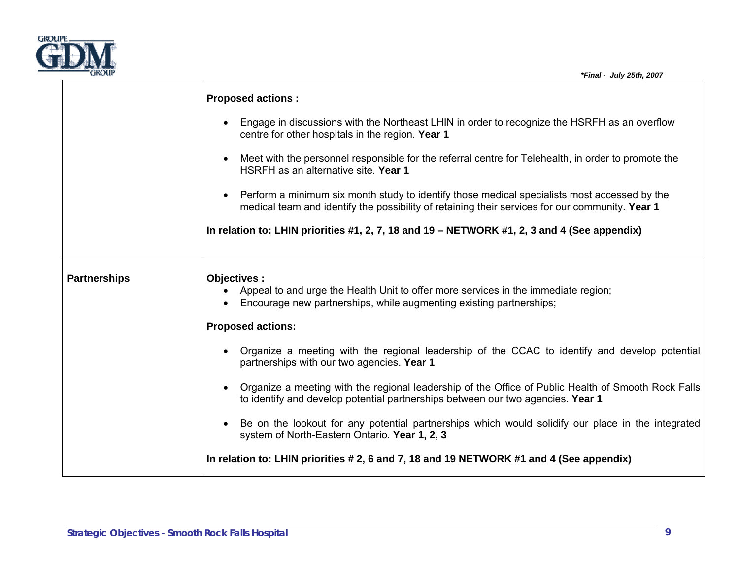

|                     | <b>Proposed actions:</b>                                                                                                                                                                        |
|---------------------|-------------------------------------------------------------------------------------------------------------------------------------------------------------------------------------------------|
|                     | Engage in discussions with the Northeast LHIN in order to recognize the HSRFH as an overflow<br>centre for other hospitals in the region. Year 1                                                |
|                     | Meet with the personnel responsible for the referral centre for Telehealth, in order to promote the<br>HSRFH as an alternative site. Year 1                                                     |
|                     | Perform a minimum six month study to identify those medical specialists most accessed by the<br>medical team and identify the possibility of retaining their services for our community. Year 1 |
|                     | In relation to: LHIN priorities #1, 2, 7, 18 and 19 – NETWORK #1, 2, 3 and 4 (See appendix)                                                                                                     |
| <b>Partnerships</b> | Objectives:<br>Appeal to and urge the Health Unit to offer more services in the immediate region;<br>Encourage new partnerships, while augmenting existing partnerships;                        |
|                     | <b>Proposed actions:</b>                                                                                                                                                                        |
|                     | • Organize a meeting with the regional leadership of the CCAC to identify and develop potential<br>partnerships with our two agencies. Year 1                                                   |
|                     | • Organize a meeting with the regional leadership of the Office of Public Health of Smooth Rock Falls<br>to identify and develop potential partnerships between our two agencies. Year 1        |
|                     | Be on the lookout for any potential partnerships which would solidify our place in the integrated<br>system of North-Eastern Ontario. Year 1, 2, 3                                              |
|                     | In relation to: LHIN priorities # 2, 6 and 7, 18 and 19 NETWORK #1 and 4 (See appendix)                                                                                                         |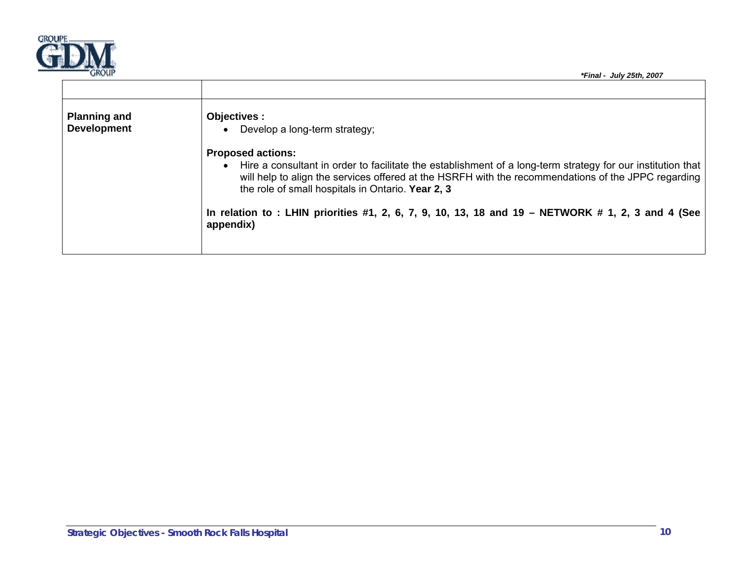

| <b>Planning and</b><br><b>Development</b> | Objectives :<br>Develop a long-term strategy;                                                                                                                                                                                                                                                       |
|-------------------------------------------|-----------------------------------------------------------------------------------------------------------------------------------------------------------------------------------------------------------------------------------------------------------------------------------------------------|
|                                           | <b>Proposed actions:</b><br>Hire a consultant in order to facilitate the establishment of a long-term strategy for our institution that<br>will help to align the services offered at the HSRFH with the recommendations of the JPPC regarding<br>the role of small hospitals in Ontario. Year 2, 3 |
|                                           | In relation to : LHIN priorities #1, 2, 6, 7, 9, 10, 13, 18 and 19 - NETWORK # 1, 2, 3 and 4 (See<br>appendix)                                                                                                                                                                                      |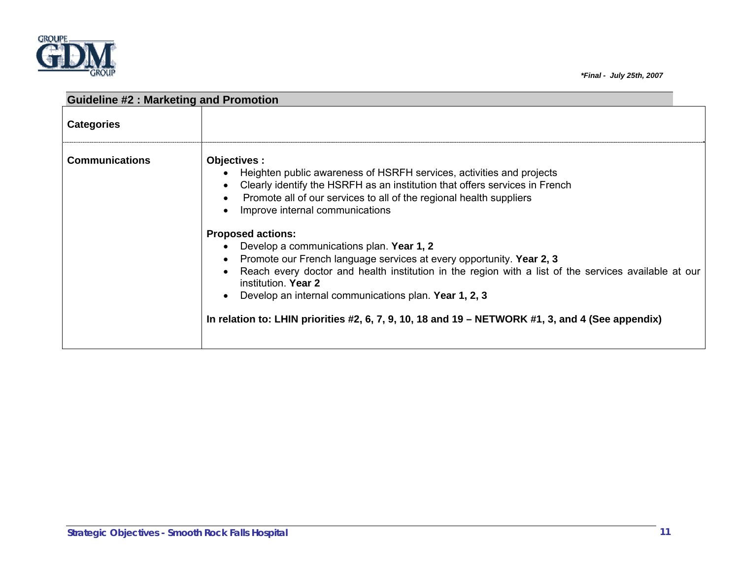

| <b>Guideline #2: Marketing and Promotion</b> |                                                                                                                                                                                                                                                                                                                                                                                                                                                                                                                                                                                                                                                                                                                           |  |
|----------------------------------------------|---------------------------------------------------------------------------------------------------------------------------------------------------------------------------------------------------------------------------------------------------------------------------------------------------------------------------------------------------------------------------------------------------------------------------------------------------------------------------------------------------------------------------------------------------------------------------------------------------------------------------------------------------------------------------------------------------------------------------|--|
| <b>Categories</b>                            |                                                                                                                                                                                                                                                                                                                                                                                                                                                                                                                                                                                                                                                                                                                           |  |
| <b>Communications</b>                        | Objectives :<br>Heighten public awareness of HSRFH services, activities and projects<br>Clearly identify the HSRFH as an institution that offers services in French<br>Promote all of our services to all of the regional health suppliers<br>Improve internal communications<br><b>Proposed actions:</b><br>Develop a communications plan. Year 1, 2<br>Promote our French language services at every opportunity. Year 2, 3<br>Reach every doctor and health institution in the region with a list of the services available at our<br>institution. Year 2<br>Develop an internal communications plan. Year 1, 2, 3<br>In relation to: LHIN priorities #2, 6, 7, 9, 10, 18 and 19 - NETWORK #1, 3, and 4 (See appendix) |  |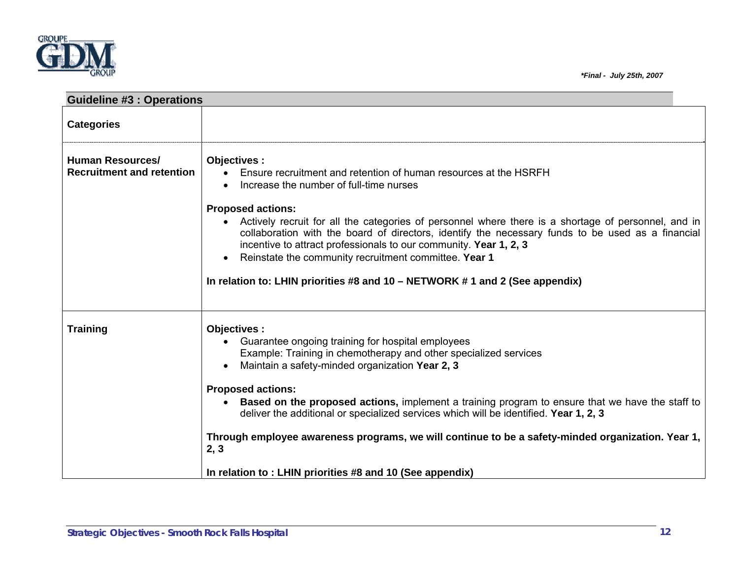



| <b>Guideline #3 : Operations</b>                            |                                                                                                                                                                                                                                                                                                                                                                                                                                                                                                                                                                                                   |
|-------------------------------------------------------------|---------------------------------------------------------------------------------------------------------------------------------------------------------------------------------------------------------------------------------------------------------------------------------------------------------------------------------------------------------------------------------------------------------------------------------------------------------------------------------------------------------------------------------------------------------------------------------------------------|
| <b>Categories</b>                                           |                                                                                                                                                                                                                                                                                                                                                                                                                                                                                                                                                                                                   |
| <b>Human Resources/</b><br><b>Recruitment and retention</b> | Objectives :<br>Ensure recruitment and retention of human resources at the HSRFH<br>$\bullet$<br>Increase the number of full-time nurses<br><b>Proposed actions:</b><br>Actively recruit for all the categories of personnel where there is a shortage of personnel, and in<br>collaboration with the board of directors, identify the necessary funds to be used as a financial<br>incentive to attract professionals to our community. Year 1, 2, 3<br>Reinstate the community recruitment committee. Year 1<br>In relation to: LHIN priorities #8 and 10 - NETWORK #1 and 2 (See appendix)     |
| <b>Training</b>                                             | Objectives :<br>Guarantee ongoing training for hospital employees<br>Example: Training in chemotherapy and other specialized services<br>Maintain a safety-minded organization Year 2, 3<br><b>Proposed actions:</b><br><b>Based on the proposed actions, implement a training program to ensure that we have the staff to</b><br>deliver the additional or specialized services which will be identified. Year 1, 2, 3<br>Through employee awareness programs, we will continue to be a safety-minded organization. Year 1,<br>2, 3<br>In relation to : LHIN priorities #8 and 10 (See appendix) |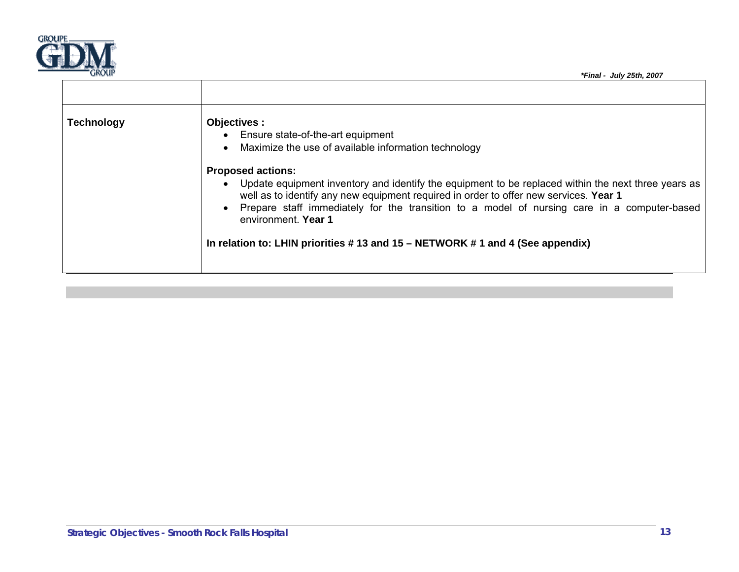

| <b>Technology</b> | Objectives :<br>Ensure state-of-the-art equipment<br>Maximize the use of available information technology                                                                                                                                                                                                                                                                                                                            |
|-------------------|--------------------------------------------------------------------------------------------------------------------------------------------------------------------------------------------------------------------------------------------------------------------------------------------------------------------------------------------------------------------------------------------------------------------------------------|
|                   | <b>Proposed actions:</b><br>Update equipment inventory and identify the equipment to be replaced within the next three years as<br>well as to identify any new equipment required in order to offer new services. Year 1<br>Prepare staff immediately for the transition to a model of nursing care in a computer-based<br>environment. Year 1<br>In relation to: LHIN priorities $#$ 13 and 15 – NETWORK $#$ 1 and 4 (See appendix) |
|                   |                                                                                                                                                                                                                                                                                                                                                                                                                                      |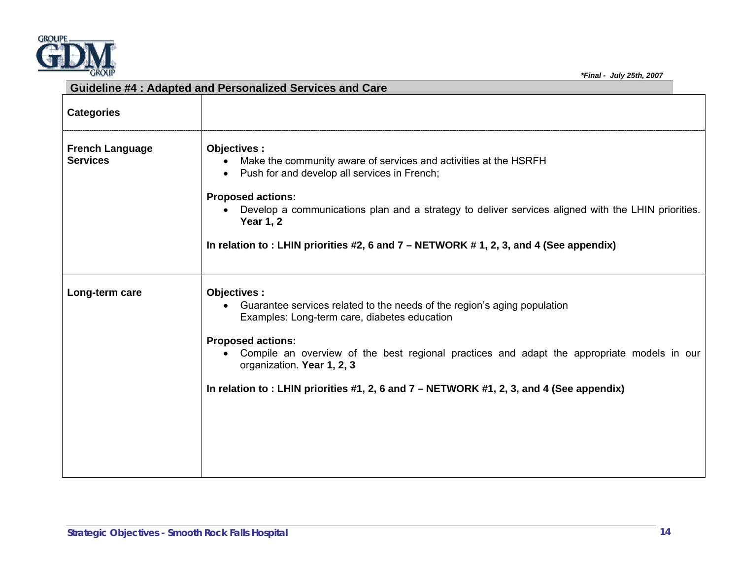

|                                           | <b>Guideline #4: Adapted and Personalized Services and Care</b>                                                                                                                                                                                                      |
|-------------------------------------------|----------------------------------------------------------------------------------------------------------------------------------------------------------------------------------------------------------------------------------------------------------------------|
| <b>Categories</b>                         |                                                                                                                                                                                                                                                                      |
| <b>French Language</b><br><b>Services</b> | Objectives :<br>Make the community aware of services and activities at the HSRFH<br>• Push for and develop all services in French;<br><b>Proposed actions:</b><br>Develop a communications plan and a strategy to deliver services aligned with the LHIN priorities. |
|                                           | <b>Year 1, 2</b><br>In relation to: LHIN priorities #2, 6 and 7 - NETWORK #1, 2, 3, and 4 (See appendix)                                                                                                                                                             |
| Long-term care                            | Objectives:<br>Guarantee services related to the needs of the region's aging population<br>$\bullet$<br>Examples: Long-term care, diabetes education                                                                                                                 |
|                                           | <b>Proposed actions:</b><br>• Compile an overview of the best regional practices and adapt the appropriate models in our<br>organization. Year 1, 2, 3                                                                                                               |
|                                           | In relation to: LHIN priorities #1, 2, 6 and 7 – NETWORK #1, 2, 3, and 4 (See appendix)                                                                                                                                                                              |
|                                           |                                                                                                                                                                                                                                                                      |
|                                           |                                                                                                                                                                                                                                                                      |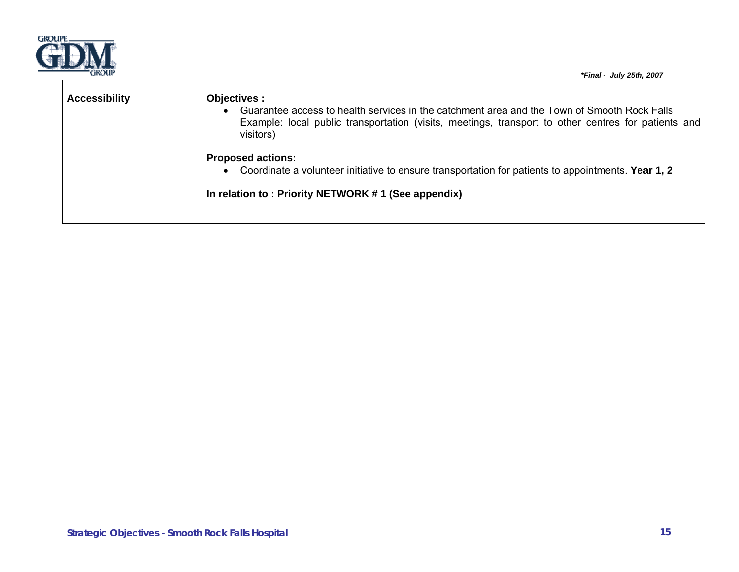

| UNVUP                | *Final - July 25th, 2007                                                                                                                                                                                                        |
|----------------------|---------------------------------------------------------------------------------------------------------------------------------------------------------------------------------------------------------------------------------|
| <b>Accessibility</b> | Objectives :<br>Guarantee access to health services in the catchment area and the Town of Smooth Rock Falls<br>Example: local public transportation (visits, meetings, transport to other centres for patients and<br>visitors) |
|                      | <b>Proposed actions:</b><br>Coordinate a volunteer initiative to ensure transportation for patients to appointments. Year 1, 2<br>In relation to: Priority NETWORK #1 (See appendix)                                            |
|                      |                                                                                                                                                                                                                                 |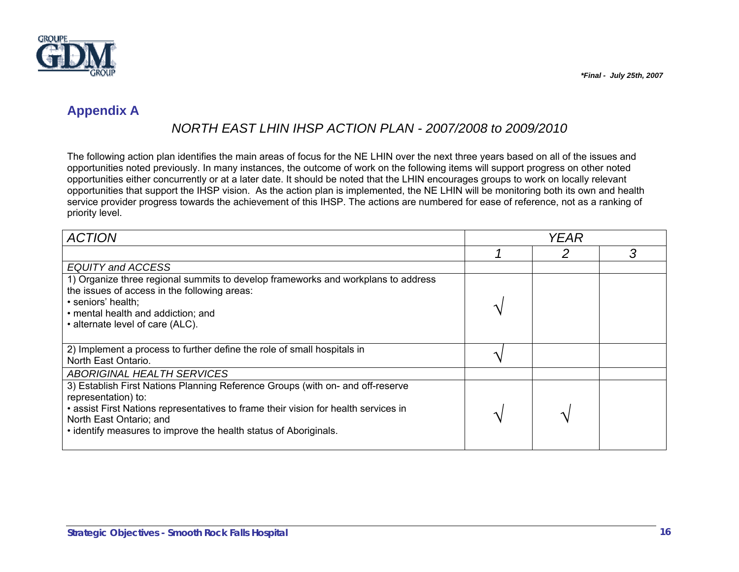

## **Appendix A**

## *NORTH EAST LHIN IHSP ACTION PLAN - 2007/2008 to 2009/2010*

The following action plan identifies the main areas of focus for the NE LHIN over the next three years based on all of the issues and opportunities noted previously. In many instances, the outcome of work on the following items will support progress on other noted opportunities either concurrently or at a later date. It should be noted that the LHIN encourages groups to work on locally relevant opportunities that support the IHSP vision. As the action plan is implemented, the NE LHIN will be monitoring both its own and health service provider progress towards the achievement of this IHSP. The actions are numbered for ease of reference, not as a ranking of priority level.

| <b>ACTION</b>                                                                       | <b>YEAR</b> |  |   |
|-------------------------------------------------------------------------------------|-------------|--|---|
|                                                                                     |             |  | 3 |
| EQUITY and ACCESS                                                                   |             |  |   |
| 1) Organize three regional summits to develop frameworks and workplans to address   |             |  |   |
| the issues of access in the following areas:                                        |             |  |   |
| · seniors' health;                                                                  |             |  |   |
| • mental health and addiction; and                                                  |             |  |   |
| • alternate level of care (ALC).                                                    |             |  |   |
|                                                                                     |             |  |   |
| 2) Implement a process to further define the role of small hospitals in             |             |  |   |
| North East Ontario.                                                                 |             |  |   |
| ABORIGINAL HEALTH SERVICES                                                          |             |  |   |
| 3) Establish First Nations Planning Reference Groups (with on- and off-reserve      |             |  |   |
| representation) to:                                                                 |             |  |   |
| • assist First Nations representatives to frame their vision for health services in |             |  |   |
| North East Ontario; and                                                             |             |  |   |
| • identify measures to improve the health status of Aboriginals.                    |             |  |   |
|                                                                                     |             |  |   |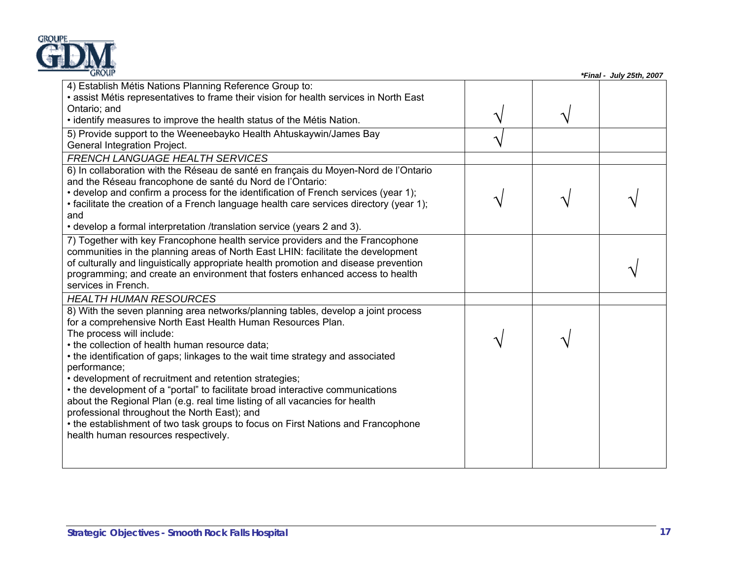

| <b>GROUP</b>                                                                                                                                                                                                                                                                                                                                                                                                                                                                                                                                                                                                                                                                                                                                                                |  | *Final - July 25th, 2007 |
|-----------------------------------------------------------------------------------------------------------------------------------------------------------------------------------------------------------------------------------------------------------------------------------------------------------------------------------------------------------------------------------------------------------------------------------------------------------------------------------------------------------------------------------------------------------------------------------------------------------------------------------------------------------------------------------------------------------------------------------------------------------------------------|--|--------------------------|
| 4) Establish Métis Nations Planning Reference Group to:<br>• assist Métis representatives to frame their vision for health services in North East<br>Ontario; and<br>. identify measures to improve the health status of the Métis Nation.                                                                                                                                                                                                                                                                                                                                                                                                                                                                                                                                  |  |                          |
| 5) Provide support to the Weeneebayko Health Ahtuskaywin/James Bay<br>General Integration Project.                                                                                                                                                                                                                                                                                                                                                                                                                                                                                                                                                                                                                                                                          |  |                          |
| <b>FRENCH LANGUAGE HEALTH SERVICES</b><br>6) In collaboration with the Réseau de santé en français du Moyen-Nord de l'Ontario<br>and the Réseau francophone de santé du Nord de l'Ontario:<br>• develop and confirm a process for the identification of French services (year 1);<br>• facilitate the creation of a French language health care services directory (year 1);<br>and<br>• develop a formal interpretation /translation service (years 2 and 3).                                                                                                                                                                                                                                                                                                              |  |                          |
| 7) Together with key Francophone health service providers and the Francophone<br>communities in the planning areas of North East LHIN: facilitate the development<br>of culturally and linguistically appropriate health promotion and disease prevention<br>programming; and create an environment that fosters enhanced access to health<br>services in French.                                                                                                                                                                                                                                                                                                                                                                                                           |  |                          |
| <b>HEALTH HUMAN RESOURCES</b><br>8) With the seven planning area networks/planning tables, develop a joint process<br>for a comprehensive North East Health Human Resources Plan.<br>The process will include:<br>• the collection of health human resource data;<br>• the identification of gaps; linkages to the wait time strategy and associated<br>performance;<br>• development of recruitment and retention strategies;<br>• the development of a "portal" to facilitate broad interactive communications<br>about the Regional Plan (e.g. real time listing of all vacancies for health<br>professional throughout the North East); and<br>• the establishment of two task groups to focus on First Nations and Francophone<br>health human resources respectively. |  |                          |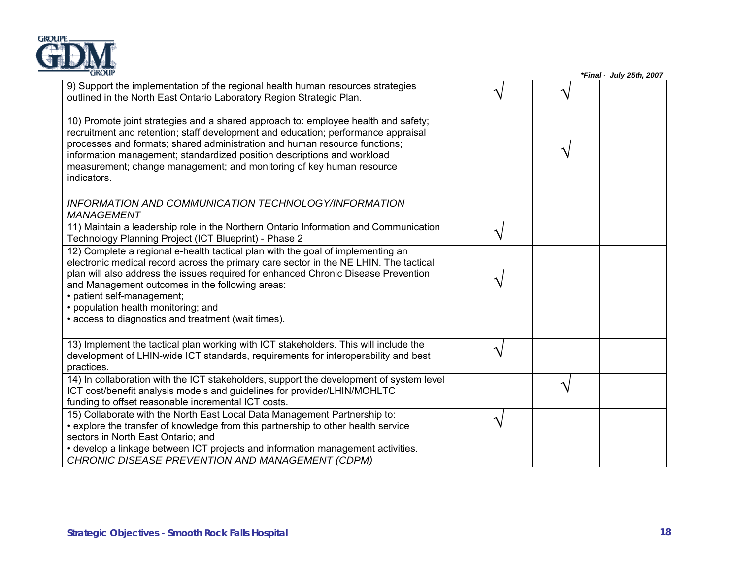

| 9) Support the implementation of the regional health human resources strategies<br>outlined in the North East Ontario Laboratory Region Strategic Plan.                                                                                                                                                                                                                                                                                       |  |  |
|-----------------------------------------------------------------------------------------------------------------------------------------------------------------------------------------------------------------------------------------------------------------------------------------------------------------------------------------------------------------------------------------------------------------------------------------------|--|--|
| 10) Promote joint strategies and a shared approach to: employee health and safety;<br>recruitment and retention; staff development and education; performance appraisal<br>processes and formats; shared administration and human resource functions;<br>information management; standardized position descriptions and workload<br>measurement; change management; and monitoring of key human resource<br>indicators.                       |  |  |
| <b>INFORMATION AND COMMUNICATION TECHNOLOGY/INFORMATION</b><br><b>MANAGEMENT</b>                                                                                                                                                                                                                                                                                                                                                              |  |  |
| 11) Maintain a leadership role in the Northern Ontario Information and Communication<br>Technology Planning Project (ICT Blueprint) - Phase 2                                                                                                                                                                                                                                                                                                 |  |  |
| 12) Complete a regional e-health tactical plan with the goal of implementing an<br>electronic medical record across the primary care sector in the NE LHIN. The tactical<br>plan will also address the issues required for enhanced Chronic Disease Prevention<br>and Management outcomes in the following areas:<br>• patient self-management;<br>• population health monitoring; and<br>• access to diagnostics and treatment (wait times). |  |  |
| 13) Implement the tactical plan working with ICT stakeholders. This will include the<br>development of LHIN-wide ICT standards, requirements for interoperability and best<br>practices.                                                                                                                                                                                                                                                      |  |  |
| 14) In collaboration with the ICT stakeholders, support the development of system level<br>ICT cost/benefit analysis models and guidelines for provider/LHIN/MOHLTC<br>funding to offset reasonable incremental ICT costs.                                                                                                                                                                                                                    |  |  |
| 15) Collaborate with the North East Local Data Management Partnership to:<br>• explore the transfer of knowledge from this partnership to other health service<br>sectors in North East Ontario; and<br>• develop a linkage between ICT projects and information management activities.                                                                                                                                                       |  |  |
| CHRONIC DISEASE PREVENTION AND MANAGEMENT (CDPM)                                                                                                                                                                                                                                                                                                                                                                                              |  |  |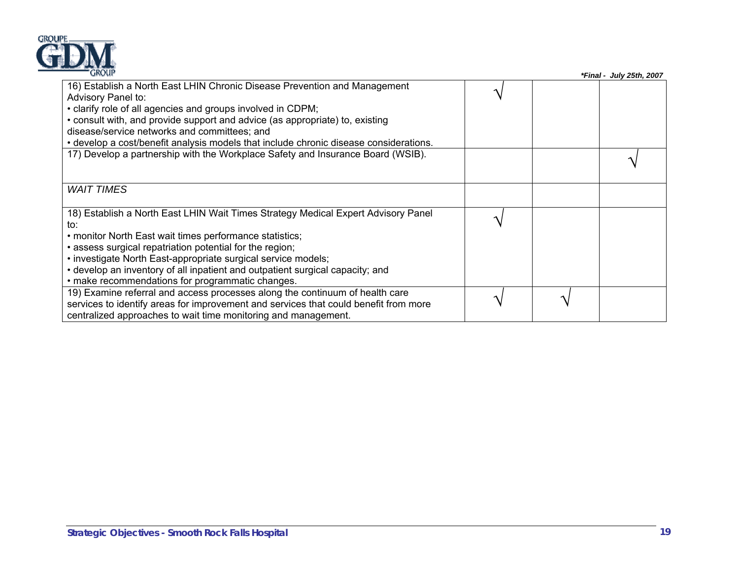| GROUI |              |
|-------|--------------|
|       |              |
|       | <b>ROLIP</b> |

| <b>GROUP</b>                                                                                    |  | *Final - July 25th, 2007 |
|-------------------------------------------------------------------------------------------------|--|--------------------------|
| 16) Establish a North East LHIN Chronic Disease Prevention and Management<br>Advisory Panel to: |  |                          |
| • clarify role of all agencies and groups involved in CDPM;                                     |  |                          |
| • consult with, and provide support and advice (as appropriate) to, existing                    |  |                          |
| disease/service networks and committees; and                                                    |  |                          |
| • develop a cost/benefit analysis models that include chronic disease considerations.           |  |                          |
| 17) Develop a partnership with the Workplace Safety and Insurance Board (WSIB).                 |  |                          |
| <i>WAIT TIMES</i>                                                                               |  |                          |
| 18) Establish a North East LHIN Wait Times Strategy Medical Expert Advisory Panel               |  |                          |
| to:                                                                                             |  |                          |
| • monitor North East wait times performance statistics;                                         |  |                          |
| • assess surgical repatriation potential for the region;                                        |  |                          |
| • investigate North East-appropriate surgical service models;                                   |  |                          |
| • develop an inventory of all inpatient and outpatient surgical capacity; and                   |  |                          |
| • make recommendations for programmatic changes.                                                |  |                          |
| 19) Examine referral and access processes along the continuum of health care                    |  |                          |
| services to identify areas for improvement and services that could benefit from more            |  |                          |
| centralized approaches to wait time monitoring and management.                                  |  |                          |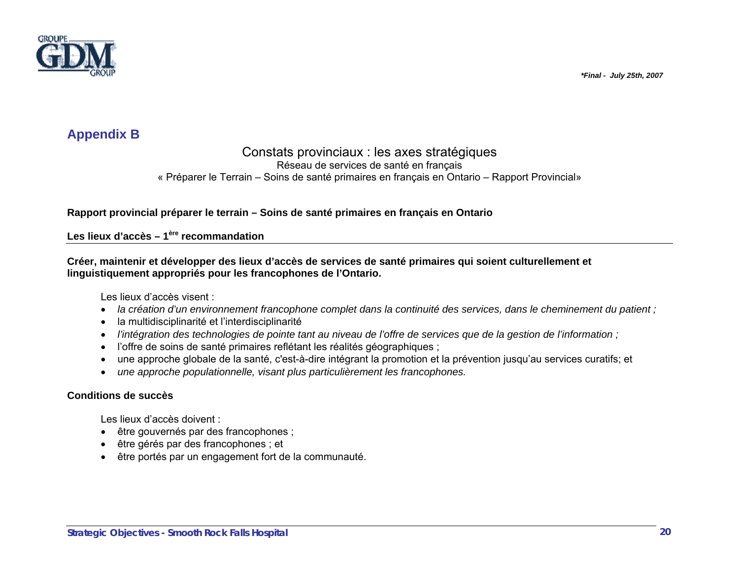

## **Appendix B**

### Constats provinciaux : les axes stratégiques

Réseau de services de santé en français

« Préparer le Terrain – Soins de santé primaires en français en Ontario – Rapport Provincial»

**Rapport provincial préparer le terrain – Soins de santé primaires en français en Ontario** 

**Les lieux d'accès – 1ère recommandation** 

**Créer, maintenir et développer des lieux d'accès de services de santé primaires qui soient culturellement et linguistiquement appropriés pour les francophones de l'Ontario.** 

Les lieux d'accès visent :

- *la création d'un environnement francophone complet dans la continuité des services, dans le cheminement du patient ;*
- la multidisciplinarité et l'interdisciplinarité
- *l'intégration des technologies de pointe tant au niveau de l'offre de services que de la gestion de l'information ;*
- l'offre de soins de santé primaires reflétant les réalités géographiques ;
- une approche globale de la santé, c'est-à-dire intégrant la promotion et la prévention jusqu'au services curatifs; et
- *une approche populationnelle, visant plus particulièrement les francophones.*

### **Conditions de succès**

Les lieux d'accès doivent :

- être gouvernés par des francophones ;
- être gérés par des francophones ; et
- être portés par un engagement fort de la communauté.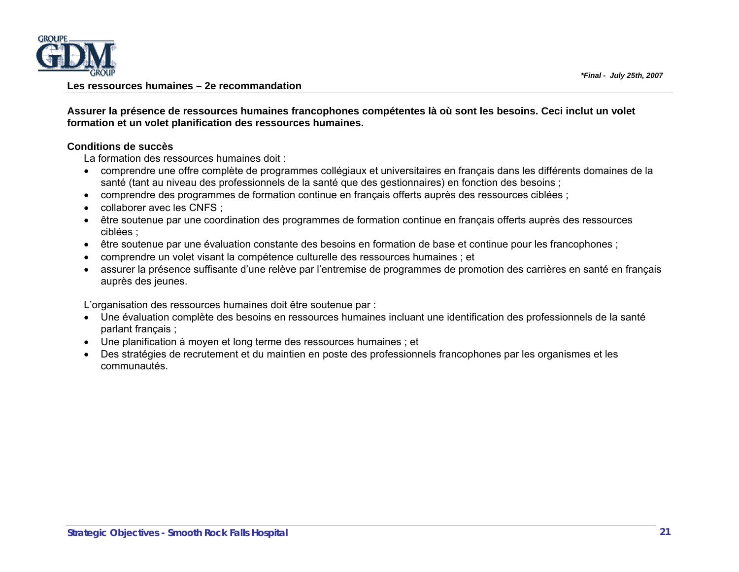

#### **Les ressources humaines – 2e recommandation**

**Assurer la présence de ressources humaines francophones compétentes là où sont les besoins. Ceci inclut un volet formation et un volet planification des ressources humaines.** 

#### **Conditions de succès**

La formation des ressources humaines doit :

- comprendre une offre complète de programmes collégiaux et universitaires en français dans les différents domaines de la santé (tant au niveau des professionnels de la santé que des gestionnaires) en fonction des besoins ;
- comprendre des programmes de formation continue en français offerts auprès des ressources ciblées ;
- collaborer avec les CNFS ;
- être soutenue par une coordination des programmes de formation continue en français offerts auprès des ressources ciblées ;
- être soutenue par une évaluation constante des besoins en formation de base et continue pour les francophones ;
- comprendre un volet visant la compétence culturelle des ressources humaines ; et
- assurer la présence suffisante d'une relève par l'entremise de programmes de promotion des carrières en santé en français auprès des jeunes.

L'organisation des ressources humaines doit être soutenue par :

- Une évaluation complète des besoins en ressources humaines incluant une identification des professionnels de la santé parlant français ;
- Une planification à moyen et long terme des ressources humaines ; et
- Des stratégies de recrutement et du maintien en poste des professionnels francophones par les organismes et les communautés.